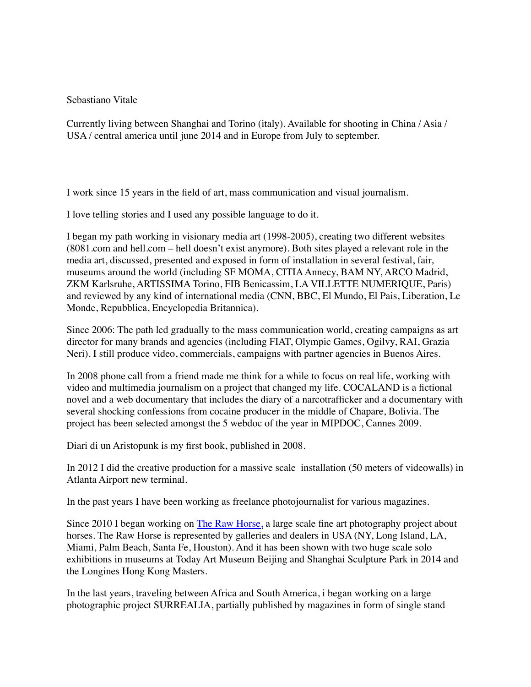## Sebastiano Vitale

Currently living between Shanghai and Torino (italy). Available for shooting in China / Asia / USA / central america until june 2014 and in Europe from July to september.

I work since 15 years in the field of art, mass communication and visual journalism.

I love telling stories and I used any possible language to do it.

I began my path working in visionary media art (1998-2005), creating two different websites (8081.com and hell.com – hell doesn't exist anymore). Both sites played a relevant role in the media art, discussed, presented and exposed in form of installation in several festival, fair, museums around the world (including SF MOMA, CITIA Annecy, BAM NY, ARCO Madrid, ZKM Karlsruhe, ARTISSIMA Torino, FIB Benicassim, LA VILLETTE NUMERIQUE, Paris) and reviewed by any kind of international media (CNN, BBC, El Mundo, El Pais, Liberation, Le Monde, Repubblica, Encyclopedia Britannica).

Since 2006: The path led gradually to the mass communication world, creating campaigns as art director for many brands and agencies (including FIAT, Olympic Games, Ogilvy, RAI, Grazia Neri). I still produce video, commercials, campaigns with partner agencies in Buenos Aires.

In 2008 phone call from a friend made me think for a while to focus on real life, working with video and multimedia journalism on a project that changed my life. COCALAND is a fictional novel and a web documentary that includes the diary of a narcotrafficker and a documentary with several shocking confessions from cocaine producer in the middle of Chapare, Bolivia. The project has been selected amongst the 5 webdoc of the year in MIPDOC, Cannes 2009.

Diari di un Aristopunk is my first book, published in 2008.

In 2012 I did the creative production for a massive scale installation (50 meters of videowalls) in Atlanta Airport new terminal.

In the past years I have been working as freelance photojournalist for various magazines.

Since 2010 I began working on [The Raw Horse,](http://therawhorse.com/) a large scale fine art photography project about horses. The Raw Horse is represented by galleries and dealers in USA (NY, Long Island, LA, Miami, Palm Beach, Santa Fe, Houston). And it has been shown with two huge scale solo exhibitions in museums at Today Art Museum Beijing and Shanghai Sculpture Park in 2014 and the Longines Hong Kong Masters.

In the last years, traveling between Africa and South America, i began working on a large photographic project SURREALIA, partially published by magazines in form of single stand